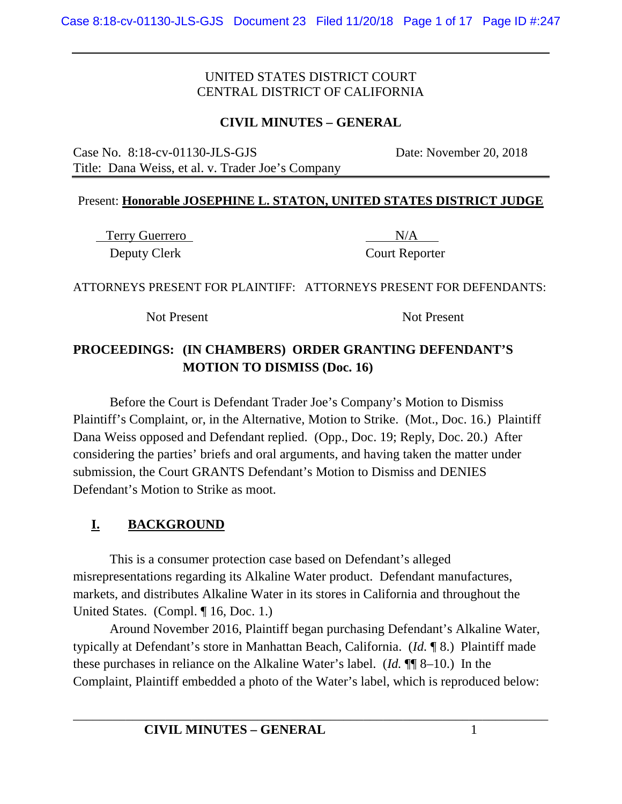## **CIVIL MINUTES – GENERAL**

Case No. 8:18-cv-01130-JLS-GJS Date: November 20, 2018 Title: Dana Weiss, et al. v. Trader Joe's Company

#### Present: **Honorable JOSEPHINE L. STATON, UNITED STATES DISTRICT JUDGE**

Terry Guerrero N/A Deputy Clerk Court Reporter

ATTORNEYS PRESENT FOR PLAINTIFF: ATTORNEYS PRESENT FOR DEFENDANTS:

Not Present Not Present

# **PROCEEDINGS: (IN CHAMBERS) ORDER GRANTING DEFENDANT'S MOTION TO DISMISS (Doc. 16)**

Before the Court is Defendant Trader Joe's Company's Motion to Dismiss Plaintiff's Complaint, or, in the Alternative, Motion to Strike. (Mot., Doc. 16.) Plaintiff Dana Weiss opposed and Defendant replied. (Opp., Doc. 19; Reply, Doc. 20.) After considering the parties' briefs and oral arguments, and having taken the matter under submission, the Court GRANTS Defendant's Motion to Dismiss and DENIES Defendant's Motion to Strike as moot.

# **I. BACKGROUND**

This is a consumer protection case based on Defendant's alleged misrepresentations regarding its Alkaline Water product. Defendant manufactures, markets, and distributes Alkaline Water in its stores in California and throughout the United States. (Compl. ¶ 16, Doc. 1.)

Around November 2016, Plaintiff began purchasing Defendant's Alkaline Water, typically at Defendant's store in Manhattan Beach, California. (*Id.* ¶ 8.) Plaintiff made these purchases in reliance on the Alkaline Water's label. (*Id.* ¶¶ 8–10.) In the Complaint, Plaintiff embedded a photo of the Water's label, which is reproduced below: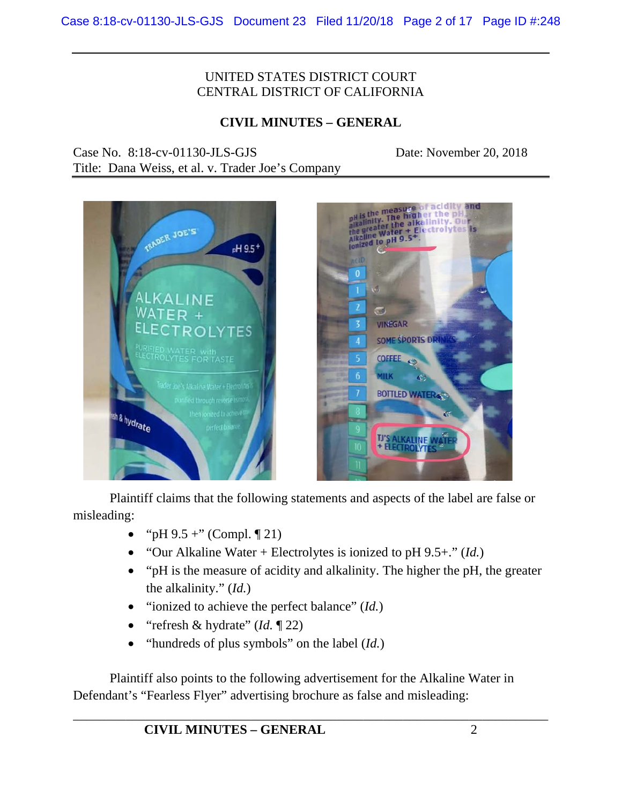## **CIVIL MINUTES – GENERAL**

Case No. 8:18-cv-01130-JLS-GJS Date: November 20, 2018

Title: Dana Weiss, et al. v. Trader Joe's Company





Plaintiff claims that the following statements and aspects of the label are false or misleading:

- "pH  $9.5 +$ " (Compl.  $\P$  21)
- "Our Alkaline Water + Electrolytes is ionized to pH 9.5+." (*Id.*)
- "pH is the measure of acidity and alkalinity. The higher the pH, the greater the alkalinity." (*Id.*)
- "ionized to achieve the perfect balance" (*Id.*)
- "refresh & hydrate" (*Id.* ¶ 22)
- "hundreds of plus symbols" on the label (*Id.*)

Plaintiff also points to the following advertisement for the Alkaline Water in Defendant's "Fearless Flyer" advertising brochure as false and misleading: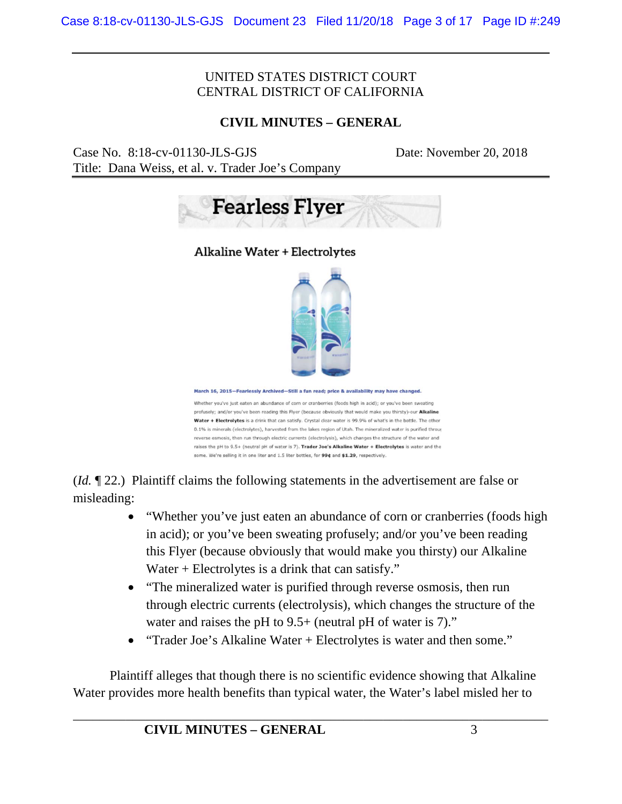## **CIVIL MINUTES – GENERAL**

Case No. 8:18-cv-01130-JLS-GJS Date: November 20, 2018 Title: Dana Weiss, et al. v. Trader Joe's Company





March 16, 2015-Fearlessly Archived-Still a fun read; price & availability may have change

Whether you've just eaten an abundance of corn or cranberries (foods high in acid); or you've been sweating profusely; and/or you've been reading this Flyer (because obviously that would make you thirsty)-our Alkaline Water + Electrolytes is a drink that can satisfy. Crystal clear water is 99.9% of what's in the bottle. The other 0.1% is minerals (electrolytes), harvested from the lakes region of Utah. The mineralized water is purified throug reverse osmosis, then run through electric currents (electrolysis), which changes the structure of the water and raises the pH to 9.5+ (neutral pH of water is 7). Trader Joe's Alkaline Water + Electrolytes is water and the some. We're selling it in one liter and 1.5 liter bottles, for 99¢ and \$1.29, respectively.

(*Id.* ¶ 22.) Plaintiff claims the following statements in the advertisement are false or misleading:

- "Whether you've just eaten an abundance of corn or cranberries (foods high in acid); or you've been sweating profusely; and/or you've been reading this Flyer (because obviously that would make you thirsty) our Alkaline Water + Electrolytes is a drink that can satisfy."
- "The mineralized water is purified through reverse osmosis, then run through electric currents (electrolysis), which changes the structure of the water and raises the pH to 9.5+ (neutral pH of water is 7)."
- "Trader Joe's Alkaline Water + Electrolytes is water and then some."

Plaintiff alleges that though there is no scientific evidence showing that Alkaline Water provides more health benefits than typical water, the Water's label misled her to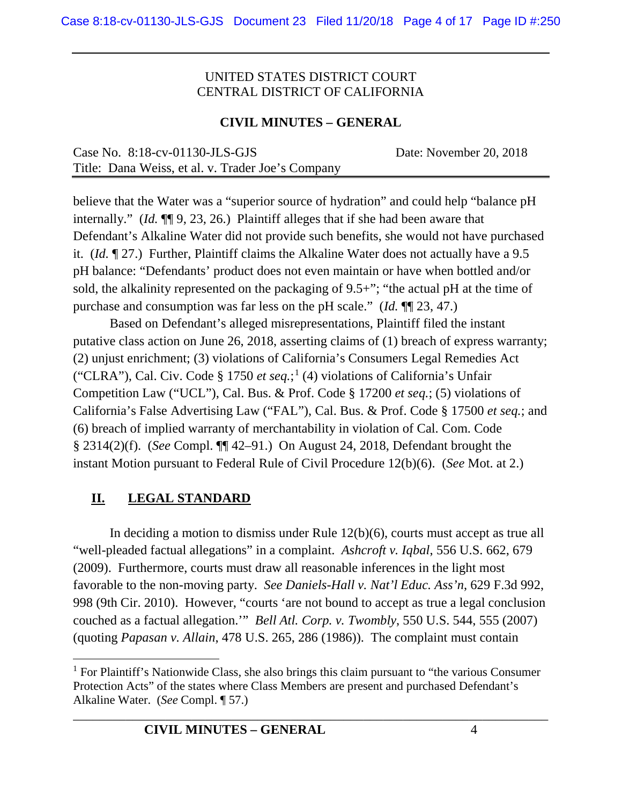## **CIVIL MINUTES – GENERAL**

| Case No. $8:18$ -cv-01130-JLS-GJS                 | Date: November 20, 2018 |
|---------------------------------------------------|-------------------------|
| Title: Dana Weiss, et al. v. Trader Joe's Company |                         |

believe that the Water was a "superior source of hydration" and could help "balance pH internally." (*Id.* ¶¶ 9, 23, 26.) Plaintiff alleges that if she had been aware that Defendant's Alkaline Water did not provide such benefits, she would not have purchased it. (*Id.* ¶ 27.) Further, Plaintiff claims the Alkaline Water does not actually have a 9.5 pH balance: "Defendants' product does not even maintain or have when bottled and/or sold, the alkalinity represented on the packaging of 9.5+"; "the actual pH at the time of purchase and consumption was far less on the pH scale." (*Id.* ¶¶ 23, 47.)

Based on Defendant's alleged misrepresentations, Plaintiff filed the instant putative class action on June 26, 2018, asserting claims of (1) breach of express warranty; (2) unjust enrichment; (3) violations of California's Consumers Legal Remedies Act ("CLRA"), Cal. Civ. Code § 1750 *et seq.*; [1](#page-3-0) (4) violations of California's Unfair Competition Law ("UCL"), Cal. Bus. & Prof. Code § 17200 *et seq.*; (5) violations of California's False Advertising Law ("FAL"), Cal. Bus. & Prof. Code § 17500 *et seq.*; and (6) breach of implied warranty of merchantability in violation of Cal. Com. Code § 2314(2)(f). (*See* Compl. ¶¶ 42–91.) On August 24, 2018, Defendant brought the instant Motion pursuant to Federal Rule of Civil Procedure 12(b)(6). (*See* Mot. at 2.)

# **II. LEGAL STANDARD**

In deciding a motion to dismiss under Rule 12(b)(6), courts must accept as true all "well-pleaded factual allegations" in a complaint. *Ashcroft v. Iqbal*, 556 U.S. 662, 679 (2009). Furthermore, courts must draw all reasonable inferences in the light most favorable to the non-moving party. *See Daniels-Hall v. Nat'l Educ. Ass'n*, 629 F.3d 992, 998 (9th Cir. 2010). However, "courts 'are not bound to accept as true a legal conclusion couched as a factual allegation.'" *Bell Atl. Corp. v. Twombly*, 550 U.S. 544, 555 (2007) (quoting *Papasan v. Allain*, 478 U.S. 265, 286 (1986)). The complaint must contain

<span id="page-3-0"></span> $<sup>1</sup>$  For Plaintiff's Nationwide Class, she also brings this claim pursuant to "the various Consumer"</sup> Protection Acts" of the states where Class Members are present and purchased Defendant's Alkaline Water. (*See* Compl. ¶ 57.)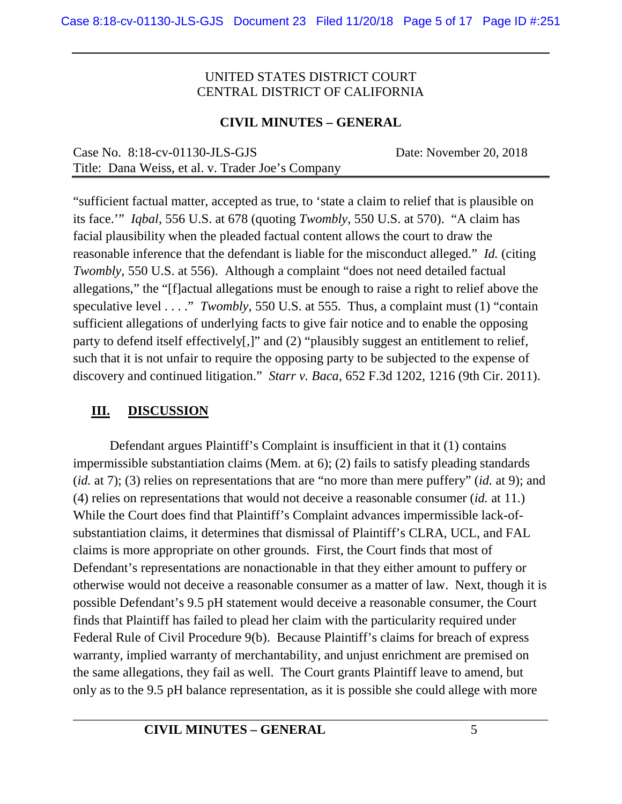## **CIVIL MINUTES – GENERAL**

| Case No. $8:18$ -cv-01130-JLS-GJS                 | Date: November 20, 2018 |
|---------------------------------------------------|-------------------------|
| Title: Dana Weiss, et al. v. Trader Joe's Company |                         |

"sufficient factual matter, accepted as true, to 'state a claim to relief that is plausible on its face.'" *Iqbal*, 556 U.S. at 678 (quoting *Twombly*, 550 U.S. at 570). "A claim has facial plausibility when the pleaded factual content allows the court to draw the reasonable inference that the defendant is liable for the misconduct alleged." *Id.* (citing *Twombly*, 550 U.S. at 556). Although a complaint "does not need detailed factual allegations," the "[f]actual allegations must be enough to raise a right to relief above the speculative level . . . ." *Twombly*, 550 U.S. at 555. Thus, a complaint must (1) "contain sufficient allegations of underlying facts to give fair notice and to enable the opposing party to defend itself effectively[,]" and (2) "plausibly suggest an entitlement to relief, such that it is not unfair to require the opposing party to be subjected to the expense of discovery and continued litigation." *Starr v. Baca*, 652 F.3d 1202, 1216 (9th Cir. 2011).

# **III. DISCUSSION**

Defendant argues Plaintiff's Complaint is insufficient in that it (1) contains impermissible substantiation claims (Mem. at 6); (2) fails to satisfy pleading standards (*id.* at 7); (3) relies on representations that are "no more than mere puffery" (*id.* at 9); and (4) relies on representations that would not deceive a reasonable consumer (*id.* at 11.) While the Court does find that Plaintiff's Complaint advances impermissible lack-ofsubstantiation claims, it determines that dismissal of Plaintiff's CLRA, UCL, and FAL claims is more appropriate on other grounds. First, the Court finds that most of Defendant's representations are nonactionable in that they either amount to puffery or otherwise would not deceive a reasonable consumer as a matter of law. Next, though it is possible Defendant's 9.5 pH statement would deceive a reasonable consumer, the Court finds that Plaintiff has failed to plead her claim with the particularity required under Federal Rule of Civil Procedure 9(b). Because Plaintiff's claims for breach of express warranty, implied warranty of merchantability, and unjust enrichment are premised on the same allegations, they fail as well. The Court grants Plaintiff leave to amend, but only as to the 9.5 pH balance representation, as it is possible she could allege with more

\_\_\_\_\_\_\_\_\_\_\_\_\_\_\_\_\_\_\_\_\_\_\_\_\_\_\_\_\_\_\_\_\_\_\_\_\_\_\_\_\_\_\_\_\_\_\_\_\_\_\_\_\_\_\_\_\_\_\_\_\_\_\_\_\_\_\_\_\_\_\_\_ **CIVIL MINUTES – GENERAL** 5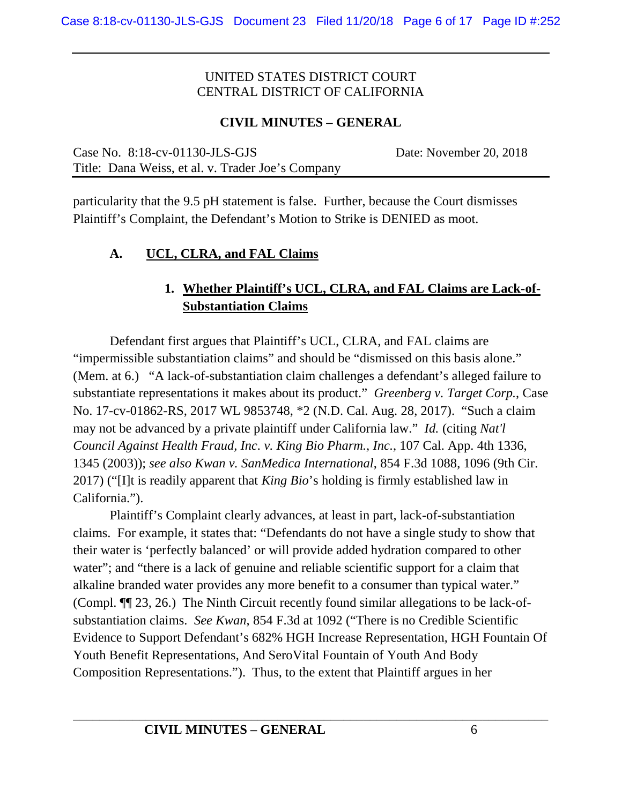## **CIVIL MINUTES – GENERAL**

Case No. 8:18-cv-01130-JLS-GJS Date: November 20, 2018 Title: Dana Weiss, et al. v. Trader Joe's Company

particularity that the 9.5 pH statement is false. Further, because the Court dismisses Plaintiff's Complaint, the Defendant's Motion to Strike is DENIED as moot.

## **A. UCL, CLRA, and FAL Claims**

# **1. Whether Plaintiff's UCL, CLRA, and FAL Claims are Lack-of-Substantiation Claims**

Defendant first argues that Plaintiff's UCL, CLRA, and FAL claims are "impermissible substantiation claims" and should be "dismissed on this basis alone." (Mem. at 6.) "A lack-of-substantiation claim challenges a defendant's alleged failure to substantiate representations it makes about its product." *Greenberg v. Target Corp.*, Case No. 17-cv-01862-RS, 2017 WL 9853748, \*2 (N.D. Cal. Aug. 28, 2017). "Such a claim may not be advanced by a private plaintiff under California law." *Id.* (citing *Nat'l Council Against Health Fraud, Inc. v. King Bio Pharm., Inc.*, 107 Cal. App. 4th 1336, 1345 (2003)); *see also Kwan v. SanMedica International*, 854 F.3d 1088, 1096 (9th Cir. 2017) ("[I]t is readily apparent that *King Bio*'s holding is firmly established law in California.").

Plaintiff's Complaint clearly advances, at least in part, lack-of-substantiation claims. For example, it states that: "Defendants do not have a single study to show that their water is 'perfectly balanced' or will provide added hydration compared to other water"; and "there is a lack of genuine and reliable scientific support for a claim that alkaline branded water provides any more benefit to a consumer than typical water." (Compl. ¶¶ 23, 26.) The Ninth Circuit recently found similar allegations to be lack-ofsubstantiation claims. *See Kwan*, 854 F.3d at 1092 ("There is no Credible Scientific Evidence to Support Defendant's 682% HGH Increase Representation, HGH Fountain Of Youth Benefit Representations, And SeroVital Fountain of Youth And Body Composition Representations."). Thus, to the extent that Plaintiff argues in her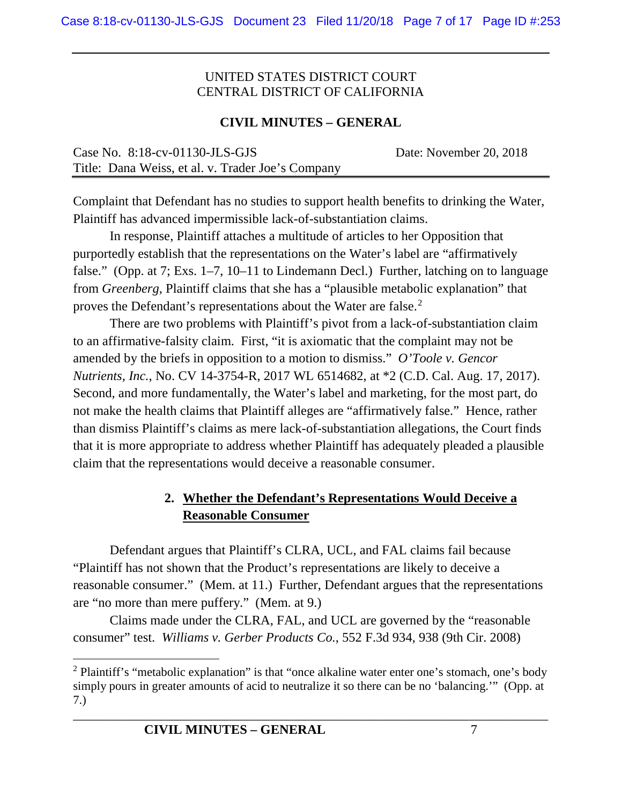#### **CIVIL MINUTES – GENERAL**

| Case No. $8:18$ -cv-01130-JLS-GJS                 | Date: November 20, 2018 |
|---------------------------------------------------|-------------------------|
| Title: Dana Weiss, et al. v. Trader Joe's Company |                         |

Complaint that Defendant has no studies to support health benefits to drinking the Water, Plaintiff has advanced impermissible lack-of-substantiation claims.

In response, Plaintiff attaches a multitude of articles to her Opposition that purportedly establish that the representations on the Water's label are "affirmatively false." (Opp. at 7; Exs. 1–7, 10–11 to Lindemann Decl.) Further, latching on to language from *Greenberg*, Plaintiff claims that she has a "plausible metabolic explanation" that proves the Defendant's representations about the Water are false.<sup>[2](#page-6-0)</sup>

There are two problems with Plaintiff's pivot from a lack-of-substantiation claim to an affirmative-falsity claim. First, "it is axiomatic that the complaint may not be amended by the briefs in opposition to a motion to dismiss." *O'Toole v. Gencor Nutrients, Inc.*, No. CV 14-3754-R, 2017 WL 6514682, at \*2 (C.D. Cal. Aug. 17, 2017). Second, and more fundamentally, the Water's label and marketing, for the most part, do not make the health claims that Plaintiff alleges are "affirmatively false." Hence, rather than dismiss Plaintiff's claims as mere lack-of-substantiation allegations, the Court finds that it is more appropriate to address whether Plaintiff has adequately pleaded a plausible claim that the representations would deceive a reasonable consumer.

# **2. Whether the Defendant's Representations Would Deceive a Reasonable Consumer**

Defendant argues that Plaintiff's CLRA, UCL, and FAL claims fail because "Plaintiff has not shown that the Product's representations are likely to deceive a reasonable consumer." (Mem. at 11.) Further, Defendant argues that the representations are "no more than mere puffery." (Mem. at 9.)

Claims made under the CLRA, FAL, and UCL are governed by the "reasonable consumer" test. *Williams v. Gerber Products Co.*, 552 F.3d 934, 938 (9th Cir. 2008)

<span id="page-6-0"></span><sup>&</sup>lt;sup>2</sup> Plaintiff's "metabolic explanation" is that "once alkaline water enter one's stomach, one's body simply pours in greater amounts of acid to neutralize it so there can be no 'balancing.'" (Opp. at 7.)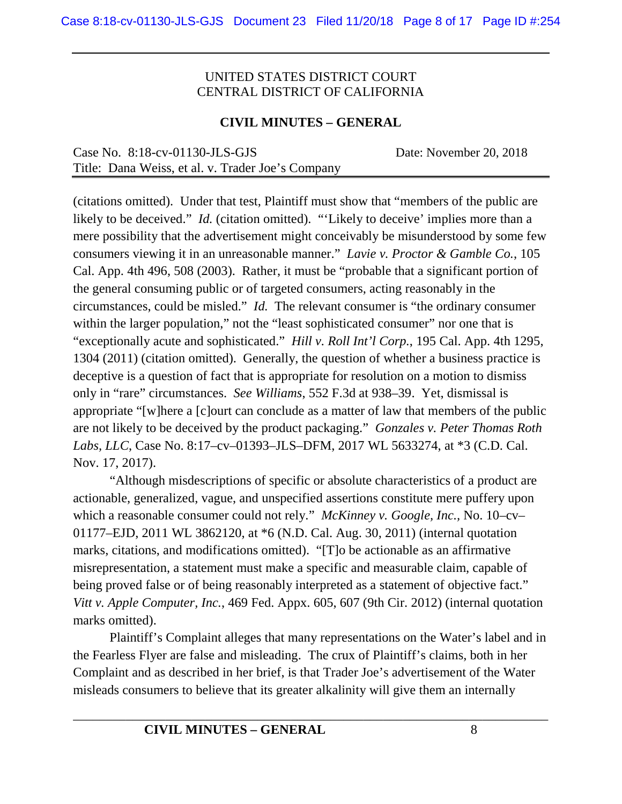#### **CIVIL MINUTES – GENERAL**

| Case No. $8:18$ -cv-01130-JLS-GJS                 | Date: November 20, 2018 |
|---------------------------------------------------|-------------------------|
| Title: Dana Weiss, et al. v. Trader Joe's Company |                         |

(citations omitted). Under that test, Plaintiff must show that "members of the public are likely to be deceived." *Id.* (citation omitted). "'Likely to deceive' implies more than a mere possibility that the advertisement might conceivably be misunderstood by some few consumers viewing it in an unreasonable manner." *Lavie v. Proctor & Gamble Co.*, 105 Cal. App. 4th 496, 508 (2003). Rather, it must be "probable that a significant portion of the general consuming public or of targeted consumers, acting reasonably in the circumstances, could be misled." *Id.* The relevant consumer is "the ordinary consumer within the larger population," not the "least sophisticated consumer" nor one that is "exceptionally acute and sophisticated." *Hill v. Roll Int'l Corp.*, 195 Cal. App. 4th 1295, 1304 (2011) (citation omitted). Generally, the question of whether a business practice is deceptive is a question of fact that is appropriate for resolution on a motion to dismiss only in "rare" circumstances. *See Williams*, 552 F.3d at 938–39. Yet, dismissal is appropriate "[w]here a [c]ourt can conclude as a matter of law that members of the public are not likely to be deceived by the product packaging." *Gonzales v. Peter Thomas Roth Labs, LLC*, Case No. 8:17–cv–01393–JLS–DFM, 2017 WL 5633274, at \*3 (C.D. Cal. Nov. 17, 2017).

"Although misdescriptions of specific or absolute characteristics of a product are actionable, generalized, vague, and unspecified assertions constitute mere puffery upon which a reasonable consumer could not rely." *McKinney v. Google, Inc.,* No. 10–cv– 01177–EJD, 2011 WL 3862120, at \*6 (N.D. Cal. Aug. 30, 2011) (internal quotation marks, citations, and modifications omitted). "[T]o be actionable as an affirmative misrepresentation, a statement must make a specific and measurable claim, capable of being proved false or of being reasonably interpreted as a statement of objective fact." *Vitt v. Apple Computer, Inc.*, 469 Fed. Appx. 605, 607 (9th Cir. 2012) (internal quotation marks omitted).

Plaintiff's Complaint alleges that many representations on the Water's label and in the Fearless Flyer are false and misleading. The crux of Plaintiff's claims, both in her Complaint and as described in her brief, is that Trader Joe's advertisement of the Water misleads consumers to believe that its greater alkalinity will give them an internally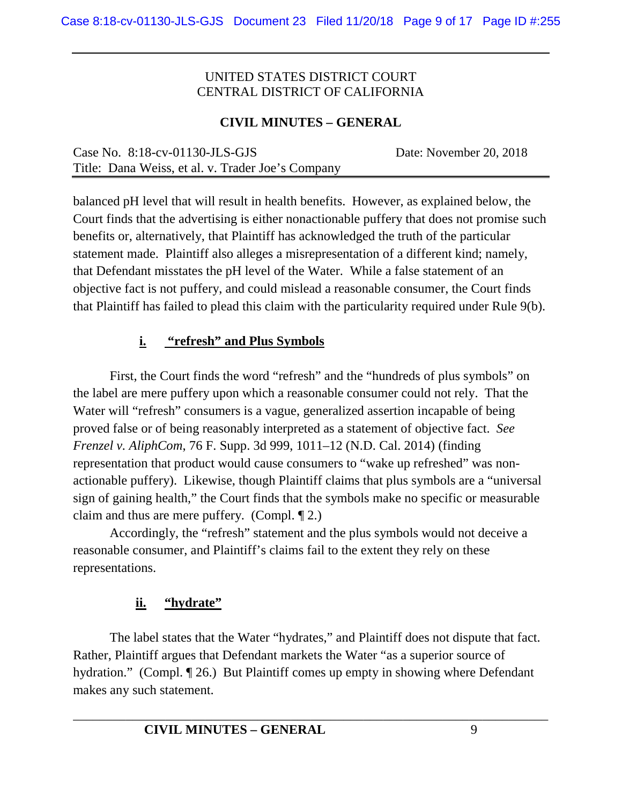## **CIVIL MINUTES – GENERAL**

| Case No. $8:18$ -cv-01130-JLS-GJS                 | Date: November 20, 2018 |
|---------------------------------------------------|-------------------------|
| Title: Dana Weiss, et al. v. Trader Joe's Company |                         |

balanced pH level that will result in health benefits. However, as explained below, the Court finds that the advertising is either nonactionable puffery that does not promise such benefits or, alternatively, that Plaintiff has acknowledged the truth of the particular statement made. Plaintiff also alleges a misrepresentation of a different kind; namely, that Defendant misstates the pH level of the Water. While a false statement of an objective fact is not puffery, and could mislead a reasonable consumer, the Court finds that Plaintiff has failed to plead this claim with the particularity required under Rule 9(b).

# **i. "refresh" and Plus Symbols**

First, the Court finds the word "refresh" and the "hundreds of plus symbols" on the label are mere puffery upon which a reasonable consumer could not rely. That the Water will "refresh" consumers is a vague, generalized assertion incapable of being proved false or of being reasonably interpreted as a statement of objective fact. *See Frenzel v. AliphCom*, 76 F. Supp. 3d 999, 1011–12 (N.D. Cal. 2014) (finding representation that product would cause consumers to "wake up refreshed" was nonactionable puffery). Likewise, though Plaintiff claims that plus symbols are a "universal sign of gaining health," the Court finds that the symbols make no specific or measurable claim and thus are mere puffery. (Compl. ¶ 2.)

Accordingly, the "refresh" statement and the plus symbols would not deceive a reasonable consumer, and Plaintiff's claims fail to the extent they rely on these representations.

# **ii. "hydrate"**

The label states that the Water "hydrates," and Plaintiff does not dispute that fact. Rather, Plaintiff argues that Defendant markets the Water "as a superior source of hydration." (Compl. 126.) But Plaintiff comes up empty in showing where Defendant makes any such statement.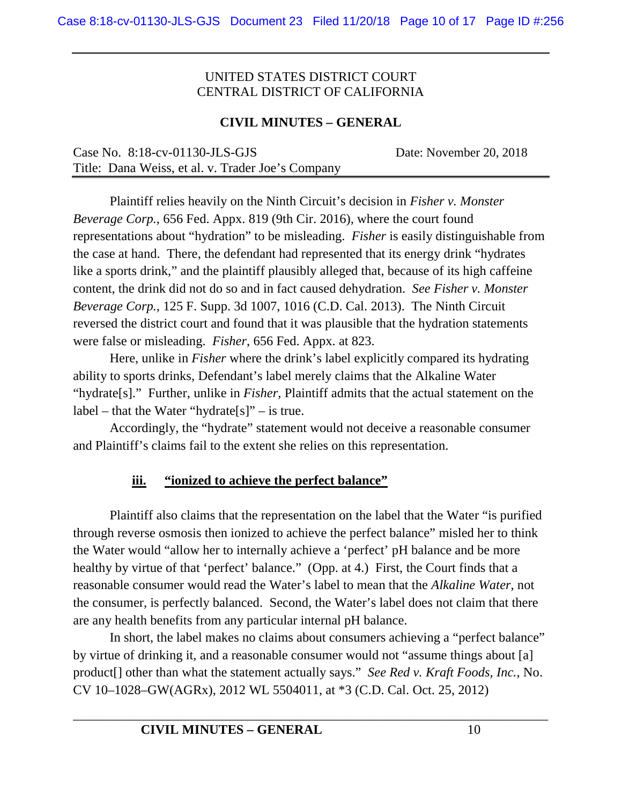## **CIVIL MINUTES – GENERAL**

| Case No. $8:18$ -cv-01130-JLS-GJS                 | Date: November 20, 2018 |
|---------------------------------------------------|-------------------------|
| Title: Dana Weiss, et al. v. Trader Joe's Company |                         |

Plaintiff relies heavily on the Ninth Circuit's decision in *Fisher v. Monster Beverage Corp.*, 656 Fed. Appx. 819 (9th Cir. 2016), where the court found representations about "hydration" to be misleading. *Fisher* is easily distinguishable from the case at hand. There, the defendant had represented that its energy drink "hydrates like a sports drink," and the plaintiff plausibly alleged that, because of its high caffeine content, the drink did not do so and in fact caused dehydration. *See Fisher v. Monster Beverage Corp.*, 125 F. Supp. 3d 1007, 1016 (C.D. Cal. 2013). The Ninth Circuit reversed the district court and found that it was plausible that the hydration statements were false or misleading. *Fisher*, 656 Fed. Appx. at 823.

Here, unlike in *Fisher* where the drink's label explicitly compared its hydrating ability to sports drinks, Defendant's label merely claims that the Alkaline Water "hydrate[s]." Further, unlike in *Fisher*, Plaintiff admits that the actual statement on the  $label - that the Water "hydrogen" - is true.$ 

Accordingly, the "hydrate" statement would not deceive a reasonable consumer and Plaintiff's claims fail to the extent she relies on this representation.

# **iii. "ionized to achieve the perfect balance"**

Plaintiff also claims that the representation on the label that the Water "is purified through reverse osmosis then ionized to achieve the perfect balance" misled her to think the Water would "allow her to internally achieve a 'perfect' pH balance and be more healthy by virtue of that 'perfect' balance." (Opp. at 4.) First, the Court finds that a reasonable consumer would read the Water's label to mean that the *Alkaline Water*, not the consumer, is perfectly balanced. Second, the Water's label does not claim that there are any health benefits from any particular internal pH balance.

In short, the label makes no claims about consumers achieving a "perfect balance" by virtue of drinking it, and a reasonable consumer would not "assume things about [a] product[] other than what the statement actually says." *See Red v. Kraft Foods, Inc.*, No. CV 10–1028–GW(AGRx), 2012 WL 5504011, at \*3 (C.D. Cal. Oct. 25, 2012)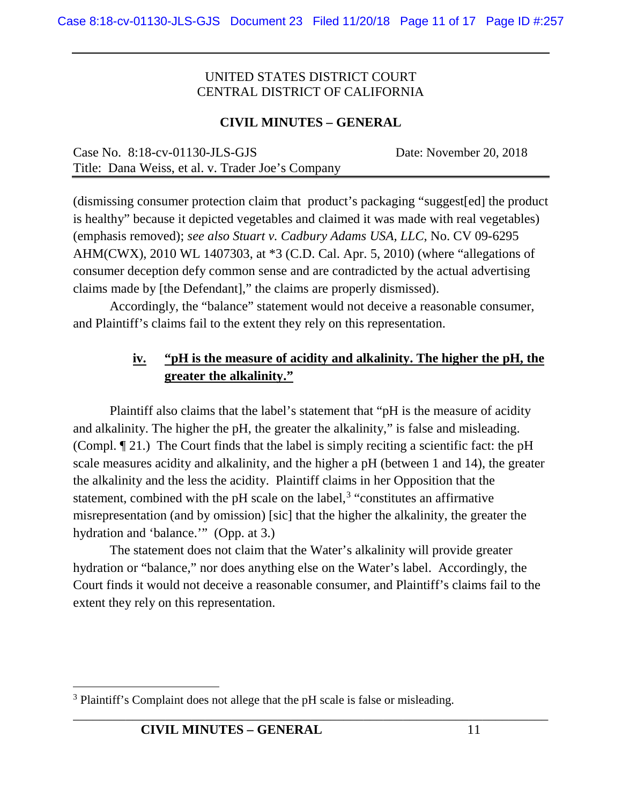#### **CIVIL MINUTES – GENERAL**

| Case No. $8:18$ -cv-01130-JLS-GJS                 | Date: November 20, 2018 |
|---------------------------------------------------|-------------------------|
| Title: Dana Weiss, et al. v. Trader Joe's Company |                         |

(dismissing consumer protection claim that product's packaging "suggest[ed] the product is healthy" because it depicted vegetables and claimed it was made with real vegetables) (emphasis removed); *see also Stuart v. Cadbury Adams USA, LLC*, No. CV 09-6295 AHM(CWX), 2010 WL 1407303, at \*3 (C.D. Cal. Apr. 5, 2010) (where "allegations of consumer deception defy common sense and are contradicted by the actual advertising claims made by [the Defendant]," the claims are properly dismissed).

Accordingly, the "balance" statement would not deceive a reasonable consumer, and Plaintiff's claims fail to the extent they rely on this representation.

## **iv. "pH is the measure of acidity and alkalinity. The higher the pH, the greater the alkalinity."**

Plaintiff also claims that the label's statement that "pH is the measure of acidity and alkalinity. The higher the pH, the greater the alkalinity," is false and misleading. (Compl. ¶ 21.) The Court finds that the label is simply reciting a scientific fact: the pH scale measures acidity and alkalinity, and the higher a pH (between 1 and 14), the greater the alkalinity and the less the acidity. Plaintiff claims in her Opposition that the statement, combined with the pH scale on the label, $3$  "constitutes an affirmative misrepresentation (and by omission) [sic] that the higher the alkalinity, the greater the hydration and 'balance.'" (Opp. at 3.)

The statement does not claim that the Water's alkalinity will provide greater hydration or "balance," nor does anything else on the Water's label. Accordingly, the Court finds it would not deceive a reasonable consumer, and Plaintiff's claims fail to the extent they rely on this representation.

<span id="page-10-0"></span><sup>&</sup>lt;sup>3</sup> Plaintiff's Complaint does not allege that the pH scale is false or misleading.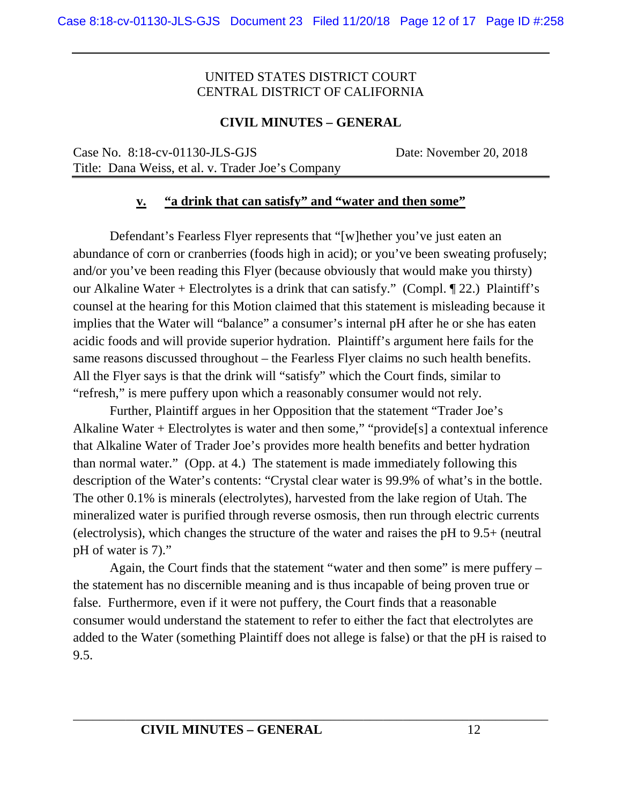#### **CIVIL MINUTES – GENERAL**

Case No. 8:18-cv-01130-JLS-GJS Date: November 20, 2018 Title: Dana Weiss, et al. v. Trader Joe's Company

#### **v. "a drink that can satisfy" and "water and then some"**

Defendant's Fearless Flyer represents that "[w]hether you've just eaten an abundance of corn or cranberries (foods high in acid); or you've been sweating profusely; and/or you've been reading this Flyer (because obviously that would make you thirsty) our Alkaline Water + Electrolytes is a drink that can satisfy." (Compl. ¶ 22.) Plaintiff's counsel at the hearing for this Motion claimed that this statement is misleading because it implies that the Water will "balance" a consumer's internal pH after he or she has eaten acidic foods and will provide superior hydration. Plaintiff's argument here fails for the same reasons discussed throughout – the Fearless Flyer claims no such health benefits. All the Flyer says is that the drink will "satisfy" which the Court finds, similar to "refresh," is mere puffery upon which a reasonably consumer would not rely.

Further, Plaintiff argues in her Opposition that the statement "Trader Joe's Alkaline Water + Electrolytes is water and then some," "provide[s] a contextual inference that Alkaline Water of Trader Joe's provides more health benefits and better hydration than normal water." (Opp. at 4.) The statement is made immediately following this description of the Water's contents: "Crystal clear water is 99.9% of what's in the bottle. The other 0.1% is minerals (electrolytes), harvested from the lake region of Utah. The mineralized water is purified through reverse osmosis, then run through electric currents (electrolysis), which changes the structure of the water and raises the pH to 9.5+ (neutral pH of water is 7)."

Again, the Court finds that the statement "water and then some" is mere puffery – the statement has no discernible meaning and is thus incapable of being proven true or false. Furthermore, even if it were not puffery, the Court finds that a reasonable consumer would understand the statement to refer to either the fact that electrolytes are added to the Water (something Plaintiff does not allege is false) or that the pH is raised to 9.5.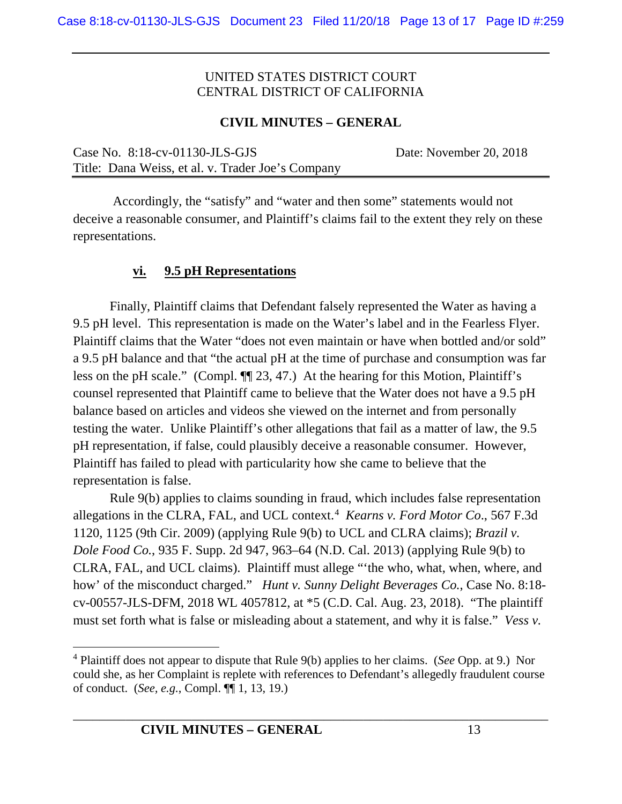#### **CIVIL MINUTES – GENERAL**

Case No. 8:18-cv-01130-JLS-GJS Date: November 20, 2018 Title: Dana Weiss, et al. v. Trader Joe's Company

Accordingly, the "satisfy" and "water and then some" statements would not deceive a reasonable consumer, and Plaintiff's claims fail to the extent they rely on these representations.

#### **vi. 9.5 pH Representations**

Finally, Plaintiff claims that Defendant falsely represented the Water as having a 9.5 pH level. This representation is made on the Water's label and in the Fearless Flyer. Plaintiff claims that the Water "does not even maintain or have when bottled and/or sold" a 9.5 pH balance and that "the actual pH at the time of purchase and consumption was far less on the pH scale." (Compl. ¶¶ 23, 47.) At the hearing for this Motion, Plaintiff's counsel represented that Plaintiff came to believe that the Water does not have a 9.5 pH balance based on articles and videos she viewed on the internet and from personally testing the water. Unlike Plaintiff's other allegations that fail as a matter of law, the 9.5 pH representation, if false, could plausibly deceive a reasonable consumer. However, Plaintiff has failed to plead with particularity how she came to believe that the representation is false.

Rule 9(b) applies to claims sounding in fraud, which includes false representation allegations in the CLRA, FAL, and UCL context.[4](#page-12-0) *Kearns v. Ford Motor Co*., 567 F.3d 1120, 1125 (9th Cir. 2009) (applying Rule 9(b) to UCL and CLRA claims); *Brazil v. Dole Food Co.*, 935 F. Supp. 2d 947, 963–64 (N.D. Cal. 2013) (applying Rule 9(b) to CLRA, FAL, and UCL claims). Plaintiff must allege "'the who, what, when, where, and how' of the misconduct charged." *Hunt v. Sunny Delight Beverages Co.*, Case No. 8:18 cv-00557-JLS-DFM, 2018 WL 4057812, at \*5 (C.D. Cal. Aug. 23, 2018). "The plaintiff must set forth what is false or misleading about a statement, and why it is false." *Vess v.* 

<span id="page-12-0"></span> <sup>4</sup> Plaintiff does not appear to dispute that Rule 9(b) applies to her claims. (*See* Opp. at 9.) Nor could she, as her Complaint is replete with references to Defendant's allegedly fraudulent course of conduct. (*See, e.g.*, Compl. ¶¶ 1, 13, 19.)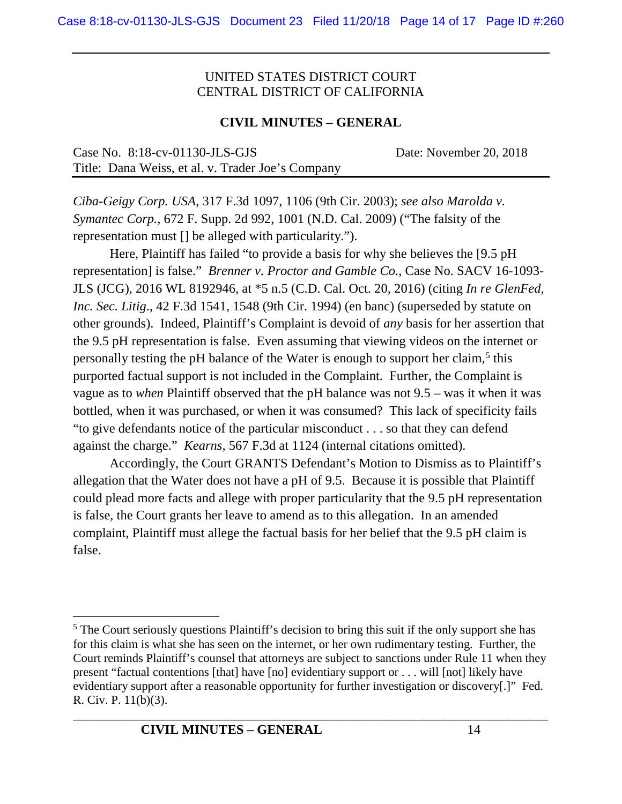## **CIVIL MINUTES – GENERAL**

| Case No. $8:18$ -cv-01130-JLS-GJS                 | Date: November 20, 2018 |
|---------------------------------------------------|-------------------------|
| Title: Dana Weiss, et al. v. Trader Joe's Company |                         |

*Ciba-Geigy Corp. USA*, 317 F.3d 1097, 1106 (9th Cir. 2003); *see also Marolda v. Symantec Corp.*, 672 F. Supp. 2d 992, 1001 (N.D. Cal. 2009) ("The falsity of the representation must [] be alleged with particularity.").

Here, Plaintiff has failed "to provide a basis for why she believes the [9.5 pH representation] is false." *Brenner v. Proctor and Gamble Co.*, Case No. SACV 16-1093- JLS (JCG), 2016 WL 8192946, at \*5 n.5 (C.D. Cal. Oct. 20, 2016) (citing *In re GlenFed, Inc. Sec. Litig*., 42 F.3d 1541, 1548 (9th Cir. 1994) (en banc) (superseded by statute on other grounds). Indeed, Plaintiff's Complaint is devoid of *any* basis for her assertion that the 9.5 pH representation is false. Even assuming that viewing videos on the internet or personally testing the pH balance of the Water is enough to support her claim,<sup>[5](#page-13-0)</sup> this purported factual support is not included in the Complaint. Further, the Complaint is vague as to *when* Plaintiff observed that the pH balance was not 9.5 – was it when it was bottled, when it was purchased, or when it was consumed? This lack of specificity fails "to give defendants notice of the particular misconduct . . . so that they can defend against the charge." *Kearns*, 567 F.3d at 1124 (internal citations omitted).

Accordingly, the Court GRANTS Defendant's Motion to Dismiss as to Plaintiff's allegation that the Water does not have a pH of 9.5. Because it is possible that Plaintiff could plead more facts and allege with proper particularity that the 9.5 pH representation is false, the Court grants her leave to amend as to this allegation. In an amended complaint, Plaintiff must allege the factual basis for her belief that the 9.5 pH claim is false.

<span id="page-13-0"></span><sup>&</sup>lt;sup>5</sup> The Court seriously questions Plaintiff's decision to bring this suit if the only support she has for this claim is what she has seen on the internet, or her own rudimentary testing. Further, the Court reminds Plaintiff's counsel that attorneys are subject to sanctions under Rule 11 when they present "factual contentions [that] have [no] evidentiary support or . . . will [not] likely have evidentiary support after a reasonable opportunity for further investigation or discovery[.]" Fed. R. Civ. P. 11(b)(3).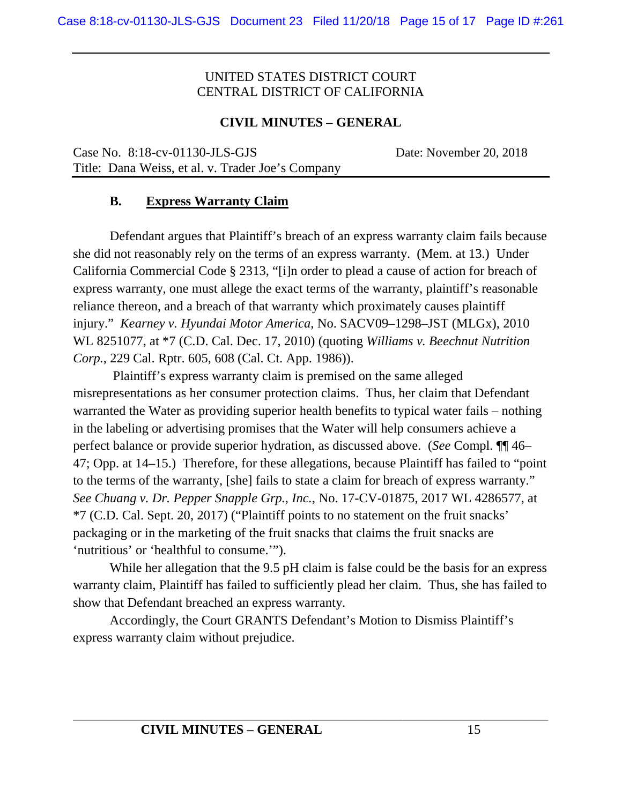#### **CIVIL MINUTES – GENERAL**

Case No. 8:18-cv-01130-JLS-GJS Date: November 20, 2018 Title: Dana Weiss, et al. v. Trader Joe's Company

#### **B. Express Warranty Claim**

Defendant argues that Plaintiff's breach of an express warranty claim fails because she did not reasonably rely on the terms of an express warranty. (Mem. at 13.) Under California Commercial Code § 2313, "[i]n order to plead a cause of action for breach of express warranty, one must allege the exact terms of the warranty, plaintiff's reasonable reliance thereon, and a breach of that warranty which proximately causes plaintiff injury." *Kearney v. Hyundai Motor America*, No. SACV09–1298–JST (MLGx), 2010 WL 8251077, at \*7 (C.D. Cal. Dec. 17, 2010) (quoting *Williams v. Beechnut Nutrition Corp.*, 229 Cal. Rptr. 605, 608 (Cal. Ct. App. 1986)).

Plaintiff's express warranty claim is premised on the same alleged misrepresentations as her consumer protection claims. Thus, her claim that Defendant warranted the Water as providing superior health benefits to typical water fails – nothing in the labeling or advertising promises that the Water will help consumers achieve a perfect balance or provide superior hydration, as discussed above. (*See* Compl. ¶¶ 46– 47; Opp. at 14–15.) Therefore, for these allegations, because Plaintiff has failed to "point to the terms of the warranty, [she] fails to state a claim for breach of express warranty." *See Chuang v. Dr. Pepper Snapple Grp., Inc.*, No. 17-CV-01875, 2017 WL 4286577, at \*7 (C.D. Cal. Sept. 20, 2017) ("Plaintiff points to no statement on the fruit snacks' packaging or in the marketing of the fruit snacks that claims the fruit snacks are 'nutritious' or 'healthful to consume.'").

While her allegation that the 9.5 pH claim is false could be the basis for an express warranty claim, Plaintiff has failed to sufficiently plead her claim. Thus, she has failed to show that Defendant breached an express warranty.

Accordingly, the Court GRANTS Defendant's Motion to Dismiss Plaintiff's express warranty claim without prejudice.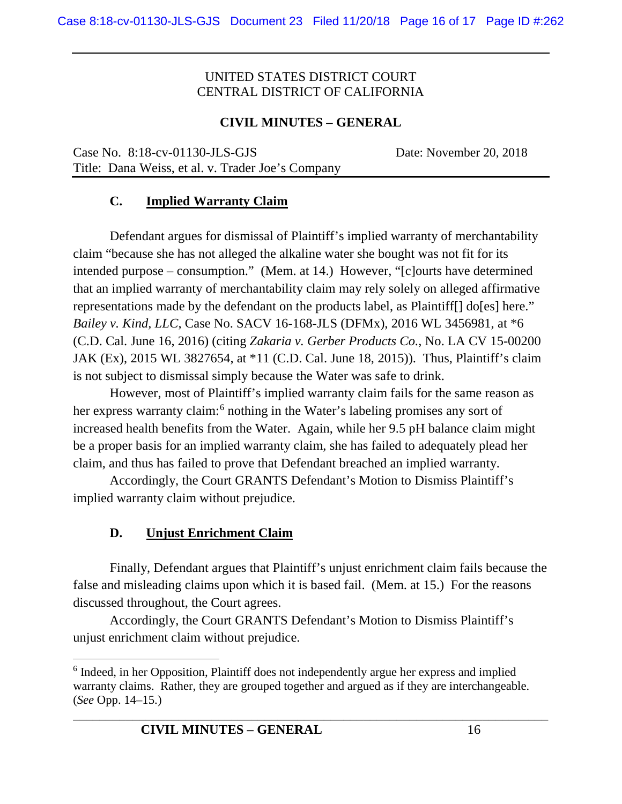# **CIVIL MINUTES – GENERAL**

Case No. 8:18-cv-01130-JLS-GJS Date: November 20, 2018 Title: Dana Weiss, et al. v. Trader Joe's Company

## **C. Implied Warranty Claim**

Defendant argues for dismissal of Plaintiff's implied warranty of merchantability claim "because she has not alleged the alkaline water she bought was not fit for its intended purpose – consumption." (Mem. at 14.) However, "[c]ourts have determined that an implied warranty of merchantability claim may rely solely on alleged affirmative representations made by the defendant on the products label, as Plaintiff[] do[es] here." *Bailey v. Kind, LLC*, Case No. SACV 16-168-JLS (DFMx), 2016 WL 3456981, at \*6 (C.D. Cal. June 16, 2016) (citing *Zakaria v. Gerber Products Co.*, No. LA CV 15-00200 JAK (Ex), 2015 WL 3827654, at \*11 (C.D. Cal. June 18, 2015)). Thus, Plaintiff's claim is not subject to dismissal simply because the Water was safe to drink.

However, most of Plaintiff's implied warranty claim fails for the same reason as her express warranty claim:<sup>[6](#page-15-0)</sup> nothing in the Water's labeling promises any sort of increased health benefits from the Water. Again, while her 9.5 pH balance claim might be a proper basis for an implied warranty claim, she has failed to adequately plead her claim, and thus has failed to prove that Defendant breached an implied warranty.

Accordingly, the Court GRANTS Defendant's Motion to Dismiss Plaintiff's implied warranty claim without prejudice.

#### **D. Unjust Enrichment Claim**

Finally, Defendant argues that Plaintiff's unjust enrichment claim fails because the false and misleading claims upon which it is based fail. (Mem. at 15.) For the reasons discussed throughout, the Court agrees.

Accordingly, the Court GRANTS Defendant's Motion to Dismiss Plaintiff's unjust enrichment claim without prejudice.

<span id="page-15-0"></span> <sup>6</sup> Indeed, in her Opposition, Plaintiff does not independently argue her express and implied warranty claims. Rather, they are grouped together and argued as if they are interchangeable. (*See* Opp. 14–15.)